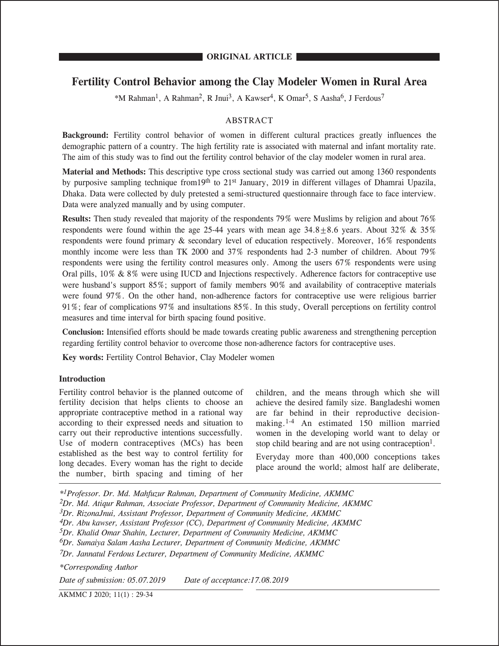# **Fertility Control Behavior among the Clay Modeler Women in Rural Area**

\*M Rahman<sup>1</sup>, A Rahman<sup>2</sup>, R Jnui<sup>3</sup>, A Kawser<sup>4</sup>, K Omar<sup>5</sup>, S Aasha<sup>6</sup>, J Ferdous<sup>7</sup>

## ABSTRACT

**Background:** Fertility control behavior of women in different cultural practices greatly influences the demographic pattern of a country. The high fertility rate is associated with maternal and infant mortality rate. The aim of this study was to find out the fertility control behavior of the clay modeler women in rural area.

**Material and Methods:** This descriptive type cross sectional study was carried out among 1360 respondents by purposive sampling technique from19th to 21st January, 2019 in different villages of Dhamrai Upazila, Dhaka. Data were collected by duly pretested a semi-structured questionnaire through face to face interview. Data were analyzed manually and by using computer.

**Results:** Then study revealed that majority of the respondents 79% were Muslims by religion and about 76% respondents were found within the age 25-44 years with mean age  $34.8+8.6$  years. About  $32\% \& 35\%$ respondents were found primary & secondary level of education respectively. Moreover, 16% respondents monthly income were less than TK 2000 and 37% respondents had 2-3 number of children. About 79% respondents were using the fertility control measures only. Among the users 67% respondents were using Oral pills, 10% & 8% were using IUCD and Injections respectively. Adherence factors for contraceptive use were husband's support 85%; support of family members 90% and availability of contraceptive materials were found 97%. On the other hand, non-adherence factors for contraceptive use were religious barrier 91%; fear of complications 97% and insultations 85%. In this study, Overall perceptions on fertility control measures and time interval for birth spacing found positive.

**Conclusion:** Intensified efforts should be made towards creating public awareness and strengthening perception regarding fertility control behavior to overcome those non-adherence factors for contraceptive uses.

**Key words:** Fertility Control Behavior, Clay Modeler women

#### **Introduction**

Fertility control behavior is the planned outcome of fertility decision that helps clients to choose an appropriate contraceptive method in a rational way according to their expressed needs and situation to carry out their reproductive intentions successfully. Use of modern contraceptives (MCs) has been established as the best way to control fertility for long decades. Every woman has the right to decide the number, birth spacing and timing of her

children, and the means through which she will achieve the desired family size. Bangladeshi women are far behind in their reproductive decisionmaking.1-4 An estimated 150 million married women in the developing world want to delay or stop child bearing and are not using contraception<sup>1</sup>.

Everyday more than 400,000 conceptions takes place around the world; almost half are deliberate,

*\*1Professor. Dr. Md. Mahfuzur Rahman, Department of Community Medicine, AKMMC 2Dr. Md. Atiqur Rahman, Associate Professor, Department of Community Medicine, AKMMC 3Dr. RizonaJnui, Assistant Professor, Department of Community Medicine, AKMMC 4Dr. Abu kawser, Assistant Professor (CC), Department of Community Medicine, AKMMC 5Dr. Khalid Omar Shahin, Lecturer, Department of Community Medicine, AKMMC 6Dr. Sumaiya Salam Aasha Lecturer, Department of Community Medicine, AKMMC 7Dr. Jannatul Ferdous Lecturer, Department of Community Medicine, AKMMC \*Corresponding Author*

*Date of submission: 05.07.2019 Date of acceptance:17.08.2019* 

AKMMC J 2020; 11(1) : 29-34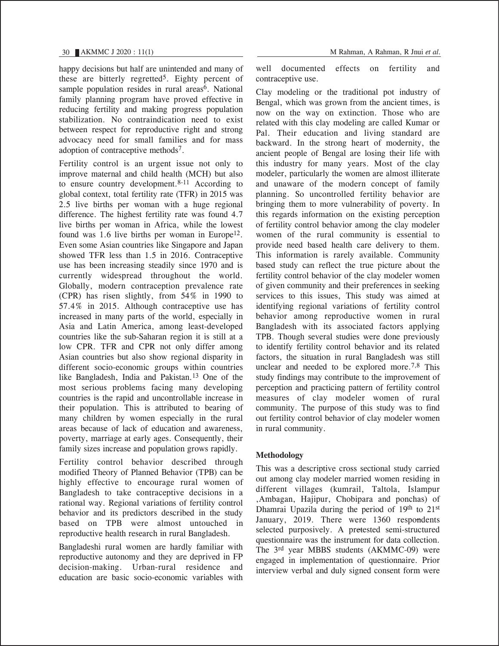happy decisions but half are unintended and many of these are bitterly regretted5. Eighty percent of sample population resides in rural areas<sup>6</sup>. National family planning program have proved effective in reducing fertility and making progress population stabilization. No contraindication need to exist between respect for reproductive right and strong advocacy need for small families and for mass adoption of contraceptive methods7.

Fertility control is an urgent issue not only to improve maternal and child health (MCH) but also to ensure country development. $8-11$  According to global context, total fertility rate (TFR) in 2015 was 2.5 live births per woman with a huge regional difference. The highest fertility rate was found 4.7 live births per woman in Africa, while the lowest found was 1.6 live births per woman in Europe<sup>12</sup>. Even some Asian countries like Singapore and Japan showed TFR less than 1.5 in 2016. Contraceptive use has been increasing steadily since 1970 and is currently widespread throughout the world. Globally, modern contraception prevalence rate (CPR) has risen slightly, from 54% in 1990 to 57.4% in 2015. Although contraceptive use has increased in many parts of the world, especially in Asia and Latin America, among least-developed countries like the sub-Saharan region it is still at a low CPR. TFR and CPR not only differ among Asian countries but also show regional disparity in different socio-economic groups within countries like Bangladesh, India and Pakistan.13 One of the most serious problems facing many developing countries is the rapid and uncontrollable increase in their population. This is attributed to bearing of many children by women especially in the rural areas because of lack of education and awareness, poverty, marriage at early ages. Consequently, their family sizes increase and population grows rapidly.

Fertility control behavior described through modified Theory of Planned Behavior (TPB) can be highly effective to encourage rural women of Bangladesh to take contraceptive decisions in a rational way. Regional variations of fertility control behavior and its predictors described in the study based on TPB were almost untouched in reproductive health research in rural Bangladesh.

Bangladeshi rural women are hardly familiar with reproductive autonomy and they are deprived in FP decision-making. Urban-rural residence and education are basic socio-economic variables with

well documented effects on fertility and contraceptive use.

Clay modeling or the traditional pot industry of Bengal, which was grown from the ancient times, is now on the way on extinction. Those who are related with this clay modeling are called Kumar or Pal. Their education and living standard are backward. In the strong heart of modernity, the ancient people of Bengal are losing their life with this industry for many years. Most of the clay modeler, particularly the women are almost illiterate and unaware of the modern concept of family planning. So uncontrolled fertility behavior are bringing them to more vulnerability of poverty. In this regards information on the existing perception of fertility control behavior among the clay modeler women of the rural community is essential to provide need based health care delivery to them. This information is rarely available. Community based study can reflect the true picture about the fertility control behavior of the clay modeler women of given community and their preferences in seeking services to this issues, This study was aimed at identifying regional variations of fertility control behavior among reproductive women in rural Bangladesh with its associated factors applying TPB. Though several studies were done previously to identify fertility control behavior and its related factors, the situation in rural Bangladesh was still unclear and needed to be explored more.<sup>7,8</sup> This study findings may contribute to the improvement of perception and practicing pattern of fertility control measures of clay modeler women of rural community. The purpose of this study was to find out fertility control behavior of clay modeler women in rural community.

## **Methodology**

This was a descriptive cross sectional study carried out among clay modeler married women residing in different villages (kumrail, Taltola, Islampur ,Ambagan, Hajipur, Chobipara and ponchas) of Dhamrai Upazila during the period of 19th to 21st Dhannai Opazha during the period of 19<sup>th</sup> to 21<sup>th</sup><br>January, 2019. There were 1360 respo<del>n</del>dents selected purposively. A pretested semi-structured questionnaire was the instrument for data collection. The 3rd year MBBS students (AKMMC-09) were engaged in implementation of questionnaire. Prior interview verbal and duly signed consent form were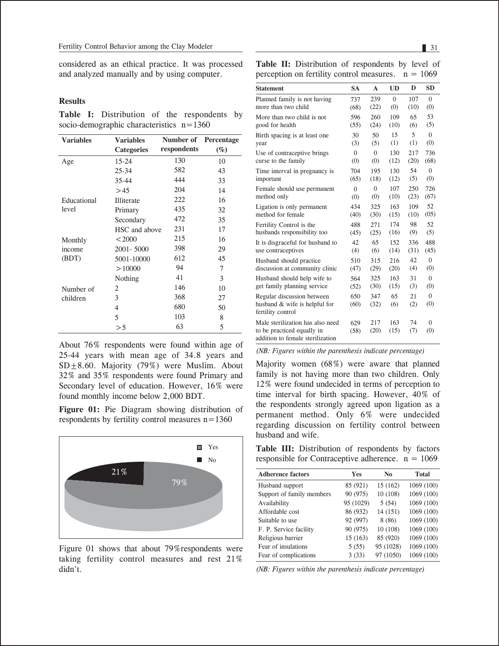considered as an ethical practice. It was processed and analyzed manually and by using computer.

#### **Results**

**Table I:** Distribution of the respondents by socio-demographic characteristics n=1360

| <b>Variables</b> | <b>Variables</b>  | Number of   | Percentage |
|------------------|-------------------|-------------|------------|
|                  | <b>Categories</b> | respondents | $(\%)$     |
| Age              | $15 - 24$         | 130         | 10         |
|                  | $25 - 34$         | 582         | 43         |
|                  | $35 - 44$         | 444         | 33         |
|                  | >45               | 204         | 14         |
| Educational      | Illiterate        | 222         | 16         |
| level            | Primary           | 435         | 32         |
|                  | Secondary         | 472         | 35         |
|                  | HSC and above     | 231         | 17         |
| Monthly          | < 2000            | 215         | 16         |
| income           | 2001-5000         | 398         | 29         |
| (BDT)            | 5001-10000        | 612         | 45         |
|                  | >10000            | 94          | 7          |
|                  | Nothing           | 41          | 3          |
| Number of        | 2                 | 146         | 10         |
| children         | 3                 | 368         | 27         |
|                  | 4                 | 680         | 50         |
|                  | 5                 | 103         | 8          |
|                  | >5                | 63          | 5          |

About 76% respondents were found within age of 25-44 years with mean age of 34.8 years and  $SD \pm 8.60$ . Majority (79%) were Muslim. About 32% and 35% respondents were found Primary and Secondary level of education. However, 16% were found monthly income below 2,000 BDT.

**Figure 01:** Pie Diagram showing distribution of respondents by fertility control measures n=1360



Figure 01 shows that about 79%respondents were taking fertility control measures and rest 21% didn't.

Table II: Distribution of respondents by level of perception on fertility control measures.  $n = 1069$ 

| <b>Statement</b>                                                                                   | <b>SA</b>   | $\mathbf{A}$ | <b>UD</b>   | D         | <b>SD</b>       |
|----------------------------------------------------------------------------------------------------|-------------|--------------|-------------|-----------|-----------------|
| Planned family is not having                                                                       | 737         | 239          | $\Omega$    | 107       | $\Omega$        |
| more than two child                                                                                | (68)        | (22)         | (0)         | (10)      | (0)             |
| More than two child is not                                                                         | 596         | 260          | 109         | 65        | 53              |
| good for health                                                                                    | (55)        | (24)         | (10)        | (6)       | (5)             |
| Birth spacing is at least one.                                                                     | 30          | 50           | 15          | 5         | $\Omega$        |
| year                                                                                               | (3)         | (5)          | (1)         | (1)       | (0)             |
| Use of contraceptive brings                                                                        | $\theta$    | $\Omega$     | 130         | 217       | 736             |
| curse to the family                                                                                | (0)         | (0)          | (12)        | (20)      | (68)            |
| Time interval in pregnancy is                                                                      | 704         | 195          | 130         | 54        | $\Omega$        |
| important                                                                                          | (65)        | (18)         | (12)        | (5)       | (0)             |
| Female should use permanent                                                                        | $\theta$    | $\Omega$     | 107         | 250       | 726             |
| method only                                                                                        | (0)         | (0)          | (10)        | (23)      | (67)            |
| Ligation is only permanent                                                                         | 434         | 325          | 163         | 109       | 52              |
| method for female                                                                                  | (40)        | (30)         | (15)        | (10)      | (05)            |
| Fertility Control is the                                                                           | 488         | 271          | 174         | 98        | 52              |
| husbands responsibility too                                                                        | (45)        | (25)         | (16)        | (9)       | (5)             |
| It is disgraceful for husband to                                                                   | 42.         | 65           | 152         | 336       | 488             |
| use contraceptives                                                                                 | (4)         | (6)          | (14)        | (31)      | (45)            |
| Husband should practice                                                                            | 510         | 315          | 216         | 42        | $\theta$        |
| discussion at community clinic                                                                     | (47)        | (29)         | (20)        | (4)       | (0)             |
| Husband should help wife to                                                                        | 564         | 325          | 163         | 31        | $\overline{0}$  |
| get family planning service                                                                        | (52)        | (30)         | (15)        | (3)       | (0)             |
| Regular discussion between<br>husband & wife is helpful for<br>fertility control                   | 650<br>(60) | 347<br>(32)  | 65<br>(6)   | 21<br>(2) | $\Omega$<br>(0) |
| Male sterilization has also need<br>to be practiced equally in<br>addition to female sterilization | 629<br>(58) | 217<br>(20)  | 163<br>(15) | 74<br>(7) | $\Omega$<br>(0) |

*(NB: Figures within the parenthesis indicate percentage)*

Majority women (68%) were aware that planned family is not having more than two children. Only 12% were found undecided in terms of perception to time interval for birth spacing. However, 40% of the respondents strongly agreed upon ligation as a permanent method. Only 6% were undecided regarding discussion on fertility control between husband and wife.

Table III: Distribution of respondents by factors responsible for Contraceptive adherence.  $n = 1069$ 

| <b>Adherence factors</b>  | Yes       | No        | <b>Total</b> |
|---------------------------|-----------|-----------|--------------|
| Husband support           | 85 (921)  | 15 (162)  | 1069 (100)   |
| Support of family members | 90 (975)  | 10 (108)  | 1069 (100)   |
| Availability              | 95 (1029) | 5(54)     | 1069 (100)   |
| Affordable cost           | 86 (932)  | 14 (151)  | 1069 (100)   |
| Suitable to use           | 92 (997)  | 8(86)     | 1069 (100)   |
| F. P. Service facility    | 90 (975)  | 10 (108)  | 1069 (100)   |
| Religious barrier         | 15(163)   | 85 (920)  | 1069 (100)   |
| Fear of insulations       | 5(55)     | 95 (1028) | 1069 (100)   |
| Fear of complications     | 3(33)     | 97 (1050) | 1069 (100)   |
|                           |           |           |              |

*(NB: Figures within the parenthesis indicate percentage)*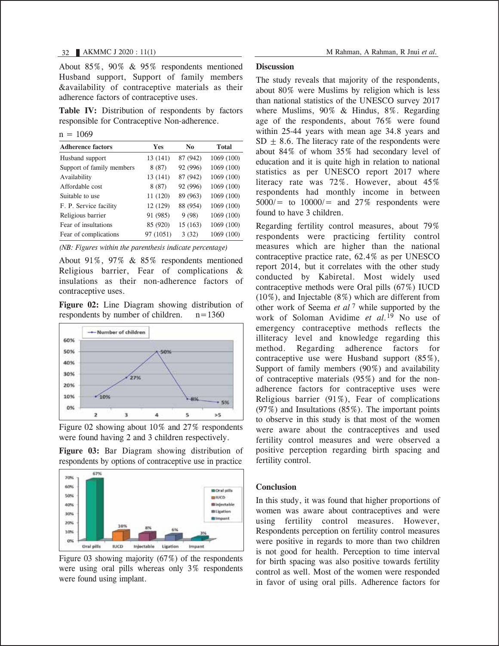About 85%, 90% & 95% respondents mentioned Husband support, Support of family members &availability of contraceptive materials as their adherence factors of contraceptive uses.

Table IV: Distribution of respondents by factors responsible for Contraceptive Non-adherence.

 $n = 1069$ 

| <b>Adherence factors</b>  | Yes       | No       | <b>Total</b> |
|---------------------------|-----------|----------|--------------|
| Husband support           | 13 (141)  | 87 (942) | 1069 (100)   |
| Support of family members | 8(87)     | 92 (996) | 1069 (100)   |
| Availability              | 13 (141)  | 87 (942) | 1069 (100)   |
| Affordable cost           | 8(87)     | 92 (996) | 1069 (100)   |
| Suitable to use           | 11 (120)  | 89 (963) | 1069 (100)   |
| F. P. Service facility    | 12 (129)  | 88 (954) | 1069 (100)   |
| Religious barrier         | 91 (985)  | 9(98)    | 1069 (100)   |
| Fear of insultations      | 85 (920)  | 15 (163) | 1069 (100)   |
| Fear of complications     | 97 (1051) | 3(32)    | 1069 (100)   |

*(NB: Figures within the parenthesis indicate percentage)*

About 91%, 97% & 85% respondents mentioned Religious barrier, Fear of complications & insulations as their non-adherence factors of contraceptive uses.

**Figure 02:** Line Diagram showing distribution of respondents by number of children.  $n=1360$ 



Figure 02 showing about 10% and 27% respondents were found having 2 and 3 children respectively.

**Figure 03:** Bar Diagram showing distribution of respondents by options of contraceptive use in practice



Figure 03 showing majority (67%) of the respondents were using oral pills whereas only 3% respondents were found using implant.

#### **Discussion**

The study reveals that majority of the respondents, about 80% were Muslims by religion which is less than national statistics of the UNESCO survey 2017 where Muslims, 90% & Hindus, 8%. Regarding age of the respondents, about 76% were found within 25-44 years with mean age 34.8 years and  $SD + 8.6$ . The literacy rate of the respondents were about 84% of whom 35% had secondary level of education and it is quite high in relation to national statistics as per UNESCO report 2017 where literacy rate was 72%. However, about 45% respondents had monthly income in between  $5000/6$  to  $10000/6$  and  $27\%$  respondents were found to have 3 children.

Regarding fertility control measures, about 79% respondents were practicing fertility control measures which are higher than the national contraceptive practice rate, 62.4% as per UNESCO report 2014, but it correlates with the other study conducted by Kabiretal. Most widely used contraceptive methods were Oral pills (67%) IUCD (10%), and Injectable (8%) which are different from other work of Seema *et al* 7 while supported by the work of Soloman Avidime *et al.*19 No use of emergency contraceptive methods reflects the illiteracy level and knowledge regarding this method. Regarding adherence factors for contraceptive use were Husband support (85%), Support of family members (90%) and availability of contraceptive materials (95%) and for the nonadherence factors for contraceptive uses were Religious barrier (91%), Fear of complications  $(97%)$  and Insultations  $(85%)$ . The important points to observe in this study is that most of the women were aware about the contraceptives and used fertility control measures and were observed a positive perception regarding birth spacing and fertility control.

#### **Conclusion**

In this study, it was found that higher proportions of women was aware about contraceptives and were using fertility control measures. However, Respondents perception on fertility control measures were positive in regards to more than two children is not good for health. Perception to time interval for birth spacing was also positive towards fertility control as well. Most of the women were responded in favor of using oral pills. Adherence factors for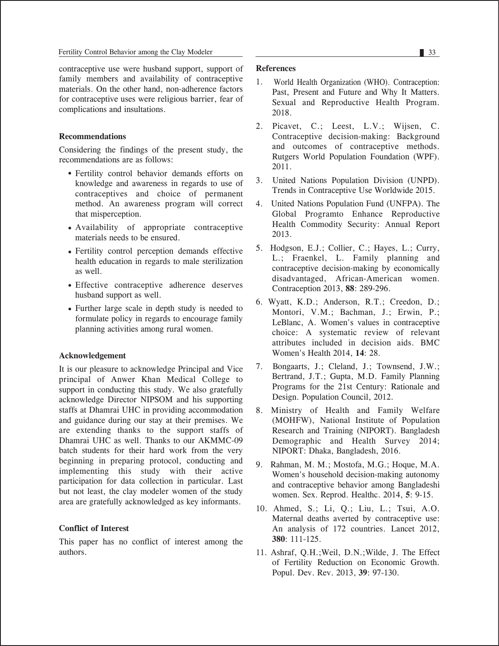contraceptive use were husband support, support of family members and availability of contraceptive materials. On the other hand, non-adherence factors for contraceptive uses were religious barrier, fear of complications and insultations.

## **Recommendations**

Considering the findings of the present study, the recommendations are as follows:

- Fertility control behavior demands efforts on knowledge and awareness in regards to use of contraceptives and choice of permanent method. An awareness program will correct that misperception.
- Availability of appropriate contraceptive materials needs to be ensured.
- Fertility control perception demands effective health education in regards to male sterilization as well.
- Effective contraceptive adherence deserves husband support as well.
- Further large scale in depth study is needed to formulate policy in regards to encourage family planning activities among rural women.

#### **Acknowledgement**

It is our pleasure to acknowledge Principal and Vice principal of Anwer Khan Medical College to support in conducting this study. We also gratefully acknowledge Director NIPSOM and his supporting staffs at Dhamrai UHC in providing accommodation and guidance during our stay at their premises. We are extending thanks to the support staffs of Dhamrai UHC as well. Thanks to our AKMMC-09 batch students for their hard work from the very beginning in preparing protocol, conducting and implementing this study with their active participation for data collection in particular. Last but not least, the clay modeler women of the study area are gratefully acknowledged as key informants.

#### **Conflict of Interest**

This paper has no conflict of interest among the authors.

#### **References**

- 1. World Health Organization (WHO). Contraception: Past, Present and Future and Why It Matters. Sexual and Reproductive Health Program. 2018.
- 2. Picavet, C.; Leest, L.V.; Wijsen, C. Contraceptive decision-making: Background and outcomes of contraceptive methods. Rutgers World Population Foundation (WPF). 2011.
- 3. United Nations Population Division (UNPD). Trends in Contraceptive Use Worldwide 2015.
- 4. United Nations Population Fund (UNFPA). The Global Programto Enhance Reproductive Health Commodity Security: Annual Report 2013.
- 5. Hodgson, E.J.; Collier, C.; Hayes, L.; Curry, L.; Fraenkel, L. Family planning and contraceptive decision-making by economically disadvantaged, African-American women. Contraception 2013, **88**: 289-296.
- 6. Wyatt, K.D.; Anderson, R.T.; Creedon, D.; Montori, V.M.; Bachman, J.; Erwin, P.; LeBlanc, A. Women's values in contraceptive choice: A systematic review of relevant attributes included in decision aids. BMC Women's Health 2014, **14**: 28.
- 7. Bongaarts, J.; Cleland, J.; Townsend, J.W.; Bertrand, J.T.; Gupta, M.D. Family Planning Programs for the 21st Century: Rationale and Design. Population Council, 2012.
- 8. Ministry of Health and Family Welfare (MOHFW), National Institute of Population Research and Training (NIPORT). Bangladesh Demographic and Health Survey 2014; NIPORT: Dhaka, Bangladesh, 2016.
- 9. Rahman, M. M.; Mostofa, M.G.; Hoque, M.A. Women's household decision-making autonomy and contraceptive behavior among Bangladeshi women. Sex. Reprod. Healthc. 2014, **5**: 9-15.
- 10. Ahmed, S.; Li, Q.; Liu, L.; Tsui, A.O. Maternal deaths averted by contraceptive use: An analysis of 172 countries. Lancet 2012, **380**: 111-125.
- 11. Ashraf, Q.H.;Weil, D.N.;Wilde, J. The Effect of Fertility Reduction on Economic Growth. Popul. Dev. Rev. 2013, **39**: 97-130.